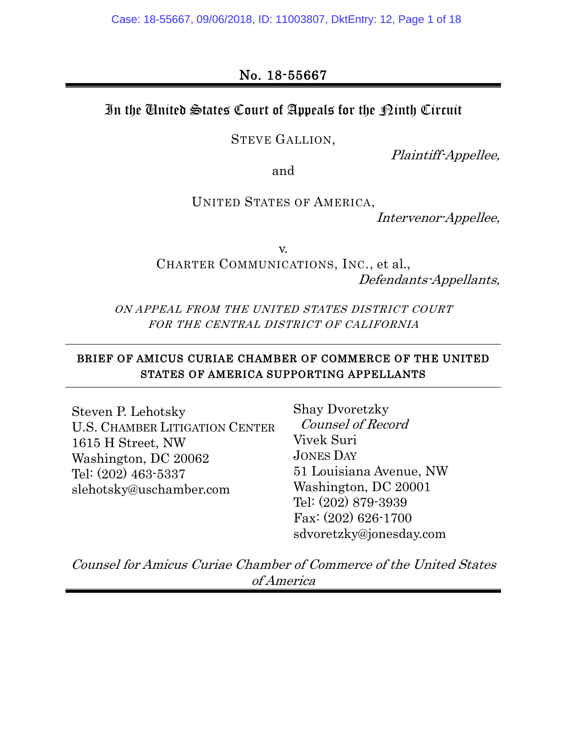Case: 18-55667, 09/06/2018, ID: 11003807, DktEntry: 12, Page 1 of 18

### In the United States Court of Appeals for the  $\mathcal D$ inth Circuit

STEVE GALLION,

Plaintiff-Appellee,

and

UNITED STATES OF AMERICA,

Intervenor-Appellee,

v.

CHARTER COMMUNICATIONS, INC., et al., Defendants-Appellants,

ON APPEAL FROM THE UNITED STATES DISTRICT COURT FOR THE CENTRAL DISTRICT OF CALIFORNIA

#### BRIEF OF AMICUS CURIAE CHAMBER OF COMMERCE OF THE UNITED STATES OF AMERICA SUPPORTING APPELLANTS

Steven P. Lehotsky U.S. CHAMBER LITIGATION CENTER 1615 H Street, NW Washington, DC 20062 Tel: (202) 463-5337 slehotsky@uschamber.com

Shay Dvoretzky Counsel of Record Vivek Suri JONES DAY 51 Louisiana Avenue, NW Washington, DC 20001 Tel: (202) 879-3939 Fax: (202) 626-1700 sdvoretzky@jonesday.com

Counsel for Amicus Curiae Chamber of Commerce of the United States of America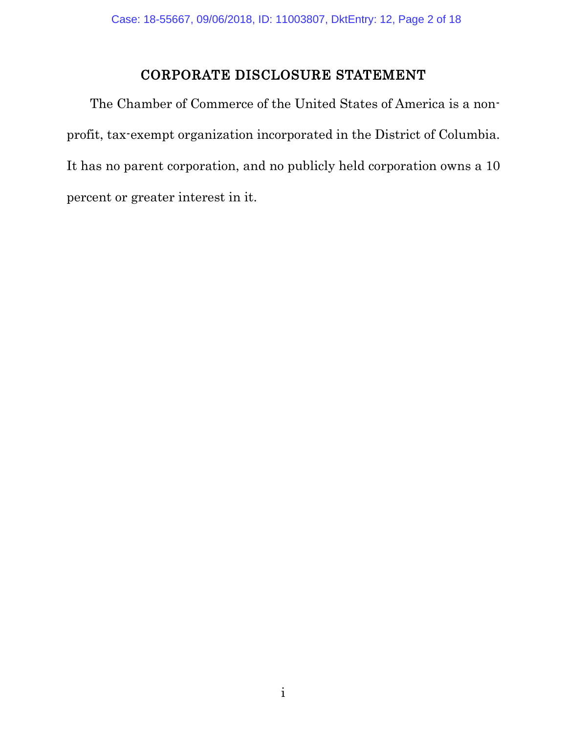### CORPORATE DISCLOSURE STATEMENT

The Chamber of Commerce of the United States of America is a nonprofit, tax-exempt organization incorporated in the District of Columbia. It has no parent corporation, and no publicly held corporation owns a 10 percent or greater interest in it.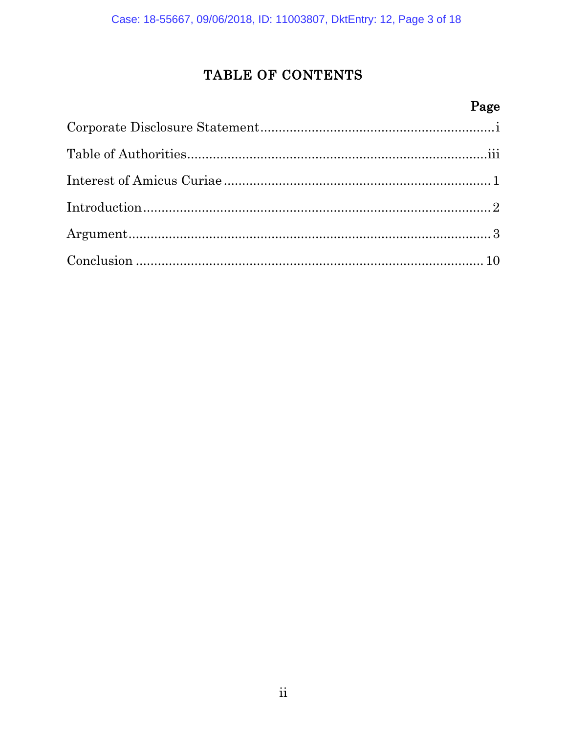## TABLE OF CONTENTS

## Page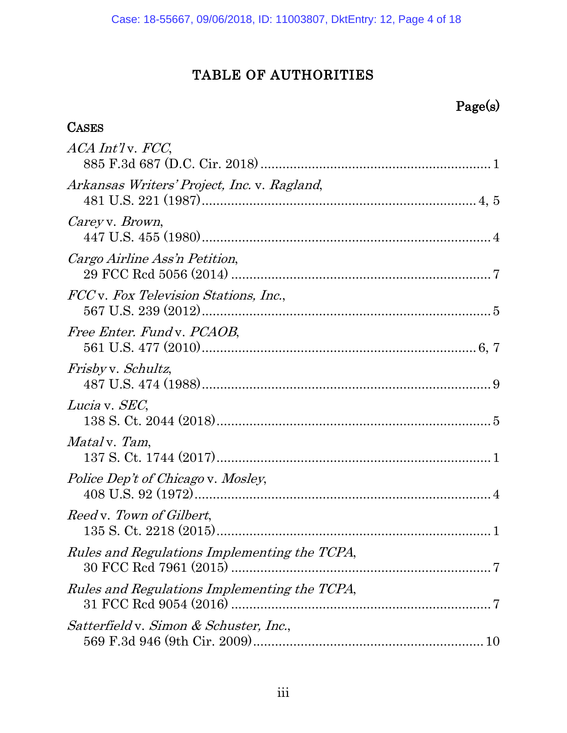# TABLE OF AUTHORITIES

# Page(s)

| <b>CASES</b>                                        |
|-----------------------------------------------------|
| ACA Int'ly. FCC,                                    |
| Arkansas Writers' Project, Inc. v. Ragland,         |
| Carey v. Brown,                                     |
| Cargo Airline Ass'n Petition,                       |
| <i>FCC</i> v. Fox Television Stations, Inc.,        |
| Free Enter. Fund v. PCAOB,                          |
| <i>Frisbyv. Schultz,</i>                            |
| Lucia v. SEC,                                       |
| <i>Mataly. Tam,</i>                                 |
| <i>Police Dep't of Chicago v. Mosley,</i>           |
| Reed v. Town of Gilbert,                            |
| <i>Rules and Regulations Implementing the TCPA,</i> |
| <i>Rules and Regulations Implementing the TCPA,</i> |
| Satterfield v. Simon & Schuster, Inc.,              |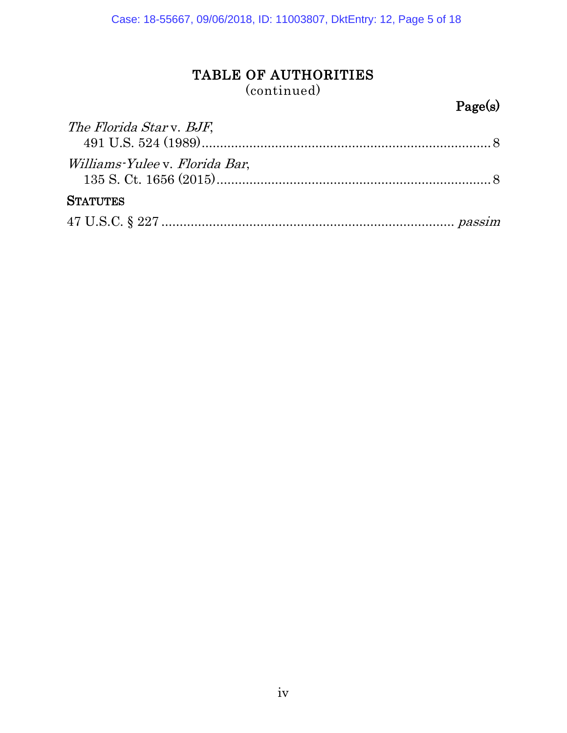## TABLE OF AUTHORITIES

(continued)

# Page(s)

| The Florida Star v. BJF,             |  |
|--------------------------------------|--|
|                                      |  |
| <i>Williams-Yuleev. Florida Bar,</i> |  |
| <b>STATUTES</b>                      |  |
|                                      |  |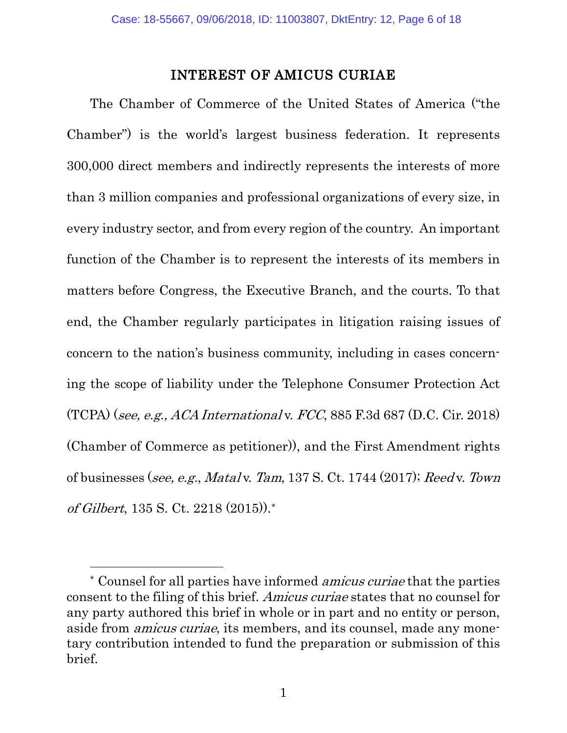### INTEREST OF AMICUS CURIAE

The Chamber of Commerce of the United States of America ("the Chamber") is the world's largest business federation. It represents 300,000 direct members and indirectly represents the interests of more than 3 million companies and professional organizations of every size, in every industry sector, and from every region of the country. An important function of the Chamber is to represent the interests of its members in matters before Congress, the Executive Branch, and the courts. To that end, the Chamber regularly participates in litigation raising issues of concern to the nation's business community, including in cases concerning the scope of liability under the Telephone Consumer Protection Act (TCPA) (see, e.g., ACA International v. FCC, 885 F.3d 687 (D.C. Cir. 2018) (Chamber of Commerce as petitioner)), and the First Amendment rights of businesses (see, e.g., Matal v. Tam, 137 S. Ct. 1744 (2017); Reed v. Town of Gilbert, 135 S. Ct. 2218 (2015)).[\\*](#page-5-3)

<span id="page-5-2"></span><span id="page-5-1"></span><span id="page-5-0"></span> $\overline{a}$ 

<span id="page-5-3"></span><sup>\*</sup> Counsel for all parties have informed amicus curiae that the parties consent to the filing of this brief. Amicus curiae states that no counsel for any party authored this brief in whole or in part and no entity or person, aside from *amicus curiae*, its members, and its counsel, made any monetary contribution intended to fund the preparation or submission of this brief.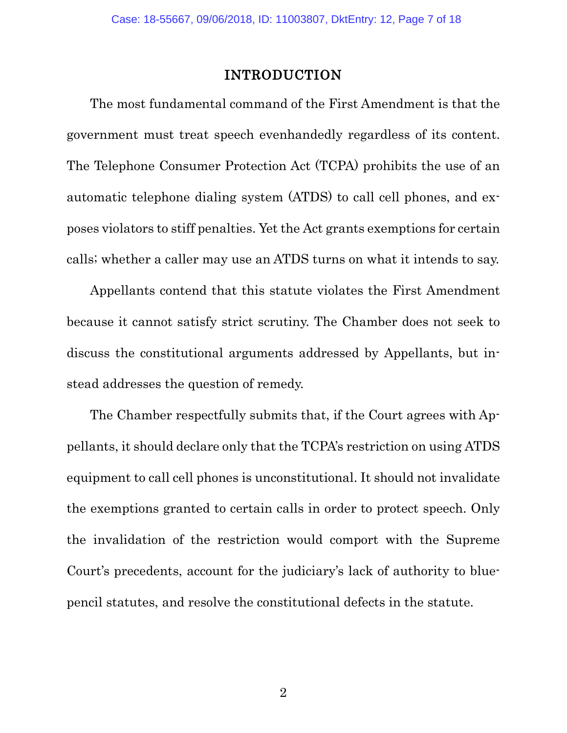#### INTRODUCTION

The most fundamental command of the First Amendment is that the government must treat speech evenhandedly regardless of its content. The Telephone Consumer Protection Act (TCPA) prohibits the use of an automatic telephone dialing system (ATDS) to call cell phones, and exposes violators to stiff penalties. Yet the Act grants exemptions for certain calls; whether a caller may use an ATDS turns on what it intends to say.

Appellants contend that this statute violates the First Amendment because it cannot satisfy strict scrutiny. The Chamber does not seek to discuss the constitutional arguments addressed by Appellants, but instead addresses the question of remedy.

The Chamber respectfully submits that, if the Court agrees with Appellants, it should declare only that the TCPA's restriction on using ATDS equipment to call cell phones is unconstitutional. It should not invalidate the exemptions granted to certain calls in order to protect speech. Only the invalidation of the restriction would comport with the Supreme Court's precedents, account for the judiciary's lack of authority to bluepencil statutes, and resolve the constitutional defects in the statute.

2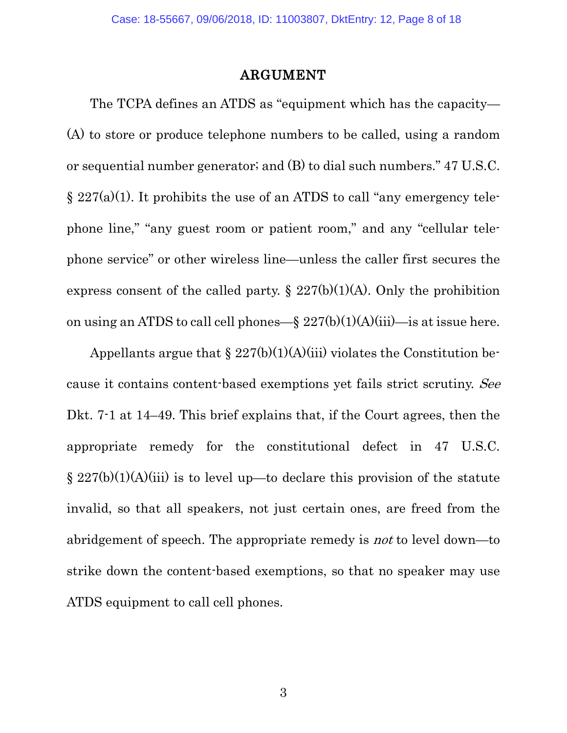#### ARGUMENT

The TCPA defines an ATDS as "equipment which has the capacity— (A) to store or produce telephone numbers to be called, using a random or sequential number generator; and (B) to dial such numbers." 47 U.S.C.  $\S 227(a)(1)$ . It prohibits the use of an ATDS to call "any emergency telephone line," "any guest room or patient room," and any "cellular telephone service" or other wireless line—unless the caller first secures the express consent of the called party.  $\S 227(b)(1)(A)$ . Only the prohibition on using an ATDS to call cell phones—§  $227(b)(1)(A)(iii)$ —is at issue here.

<span id="page-7-0"></span>Appellants argue that  $\S 227(b)(1)(A)(iii)$  violates the Constitution because it contains content-based exemptions yet fails strict scrutiny. See Dkt. 7-1 at 14–49. This brief explains that, if the Court agrees, then the appropriate remedy for the constitutional defect in 47 U.S.C.  $\S 227(b)(1)(A)(iii)$  is to level up—to declare this provision of the statute invalid, so that all speakers, not just certain ones, are freed from the abridgement of speech. The appropriate remedy is not to level down—to strike down the content-based exemptions, so that no speaker may use ATDS equipment to call cell phones.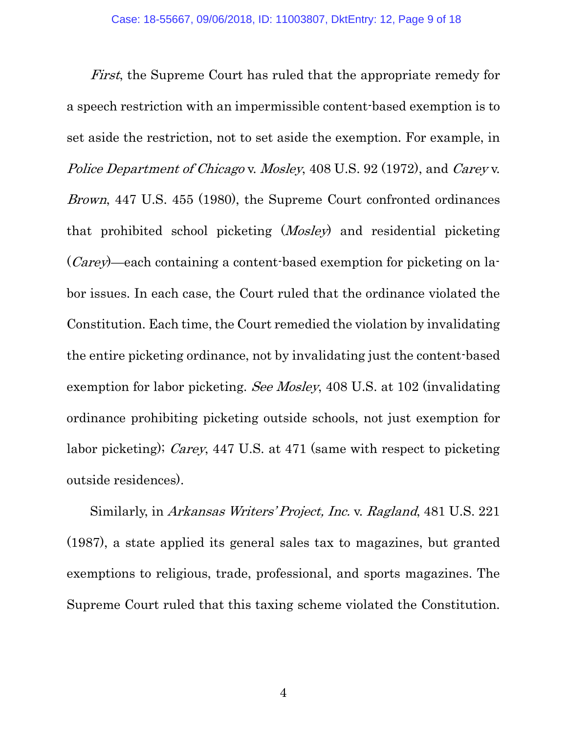<span id="page-8-2"></span><span id="page-8-1"></span>First, the Supreme Court has ruled that the appropriate remedy for a speech restriction with an impermissible content-based exemption is to set aside the restriction, not to set aside the exemption. For example, in Police Department of Chicago v. Mosley, 408 U.S. 92 (1972), and Carey v. Brown, 447 U.S. 455 (1980), the Supreme Court confronted ordinances that prohibited school picketing (Mosley) and residential picketing (Carey)—each containing a content-based exemption for picketing on labor issues. In each case, the Court ruled that the ordinance violated the Constitution. Each time, the Court remedied the violation by invalidating the entire picketing ordinance, not by invalidating just the content-based exemption for labor picketing. See Mosley, 408 U.S. at 102 (invalidating ordinance prohibiting picketing outside schools, not just exemption for labor picketing); Carey, 447 U.S. at 471 (same with respect to picketing outside residences).

<span id="page-8-0"></span>Similarly, in Arkansas Writers' Project, Inc. v. Ragland, 481 U.S. 221 (1987), a state applied its general sales tax to magazines, but granted exemptions to religious, trade, professional, and sports magazines. The Supreme Court ruled that this taxing scheme violated the Constitution.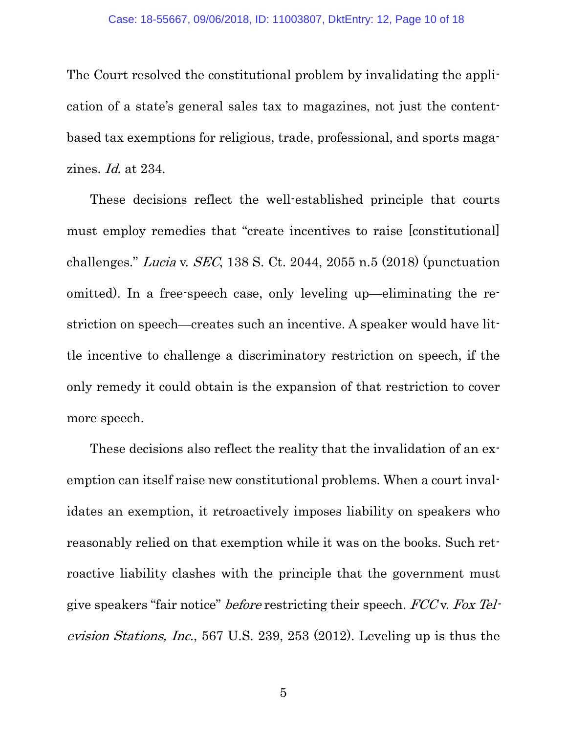The Court resolved the constitutional problem by invalidating the application of a state's general sales tax to magazines, not just the contentbased tax exemptions for religious, trade, professional, and sports magazines. Id. at 234.

<span id="page-9-2"></span><span id="page-9-0"></span>These decisions reflect the well-established principle that courts must employ remedies that "create incentives to raise [constitutional] challenges." Lucia v. SEC, 138 S. Ct. 2044, 2055 n.5 (2018) (punctuation omitted). In a free-speech case, only leveling up—eliminating the restriction on speech—creates such an incentive. A speaker would have little incentive to challenge a discriminatory restriction on speech, if the only remedy it could obtain is the expansion of that restriction to cover more speech.

These decisions also reflect the reality that the invalidation of an exemption can itself raise new constitutional problems. When a court invalidates an exemption, it retroactively imposes liability on speakers who reasonably relied on that exemption while it was on the books. Such retroactive liability clashes with the principle that the government must give speakers "fair notice" before restricting their speech. FCC v. Fox Television Stations, Inc., 567 U.S. 239, 253 (2012). Leveling up is thus the

<span id="page-9-1"></span>5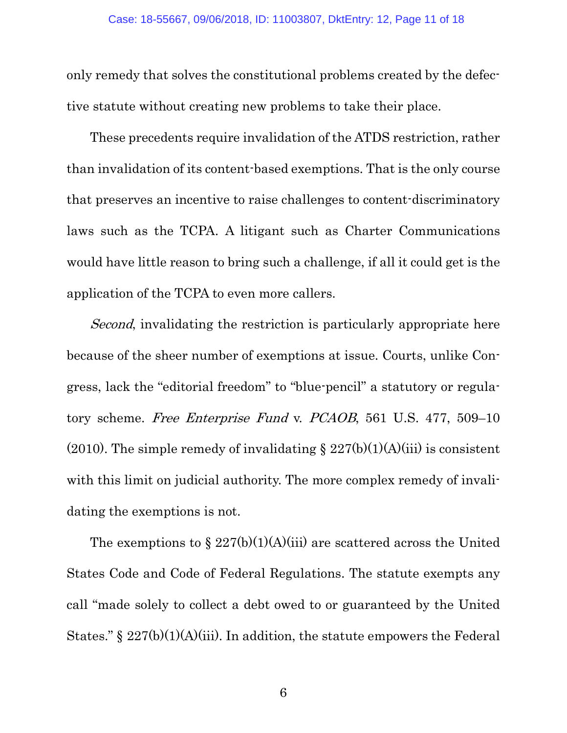only remedy that solves the constitutional problems created by the defective statute without creating new problems to take their place.

These precedents require invalidation of the ATDS restriction, rather than invalidation of its content-based exemptions. That is the only course that preserves an incentive to raise challenges to content-discriminatory laws such as the TCPA. A litigant such as Charter Communications would have little reason to bring such a challenge, if all it could get is the application of the TCPA to even more callers.

<span id="page-10-0"></span>*Second*, invalidating the restriction is particularly appropriate here because of the sheer number of exemptions at issue. Courts, unlike Congress, lack the "editorial freedom" to "blue-pencil" a statutory or regulatory scheme. Free Enterprise Fund v. PCAOB, 561 U.S. 477, 509–10 (2010). The simple remedy of invalidating  $\S 227(b)(1)(A)(iii)$  is consistent with this limit on judicial authority. The more complex remedy of invalidating the exemptions is not.

The exemptions to  $\S 227(b)(1)(A)(iii)$  are scattered across the United States Code and Code of Federal Regulations. The statute exempts any call "made solely to collect a debt owed to or guaranteed by the United States."  $\S 227(b)(1)(A)(iii)$ . In addition, the statute empowers the Federal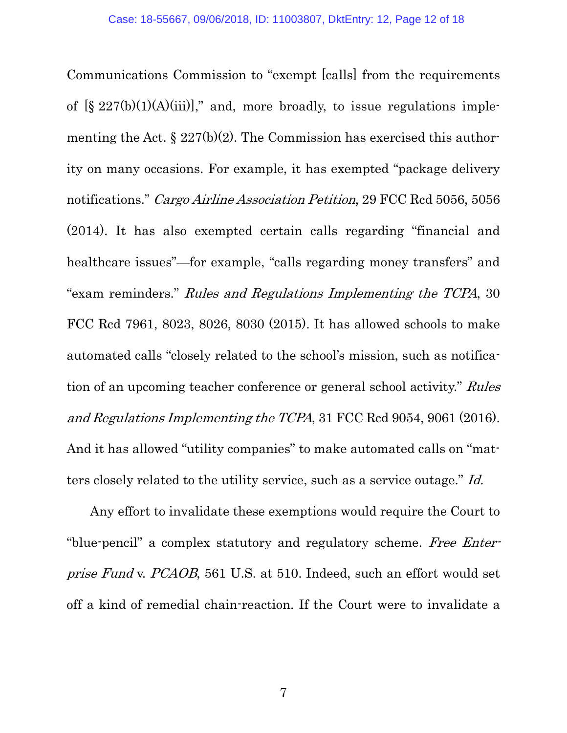<span id="page-11-3"></span><span id="page-11-1"></span><span id="page-11-0"></span>Communications Commission to "exempt [calls] from the requirements of  $[\S 227(b)(1)(A)(iii)]$ ," and, more broadly, to issue regulations implementing the Act.  $\S 227(b)(2)$ . The Commission has exercised this authority on many occasions. For example, it has exempted "package delivery notifications." Cargo Airline Association Petition, 29 FCC Rcd 5056, 5056 (2014). It has also exempted certain calls regarding "financial and healthcare issues"—for example, "calls regarding money transfers" and "exam reminders." Rules and Regulations Implementing the TCPA, 30 FCC Rcd 7961, 8023, 8026, 8030 (2015). It has allowed schools to make automated calls "closely related to the school's mission, such as notification of an upcoming teacher conference or general school activity." Rules and Regulations Implementing the TCPA, 31 FCC Rcd 9054, 9061 (2016). And it has allowed "utility companies" to make automated calls on "matters closely related to the utility service, such as a service outage." Id.

Any effort to invalidate these exemptions would require the Court to "blue-pencil" a complex statutory and regulatory scheme. Free Enterprise Fund v. PCAOB, 561 U.S. at 510. Indeed, such an effort would set off a kind of remedial chain-reaction. If the Court were to invalidate a

<span id="page-11-4"></span><span id="page-11-2"></span>7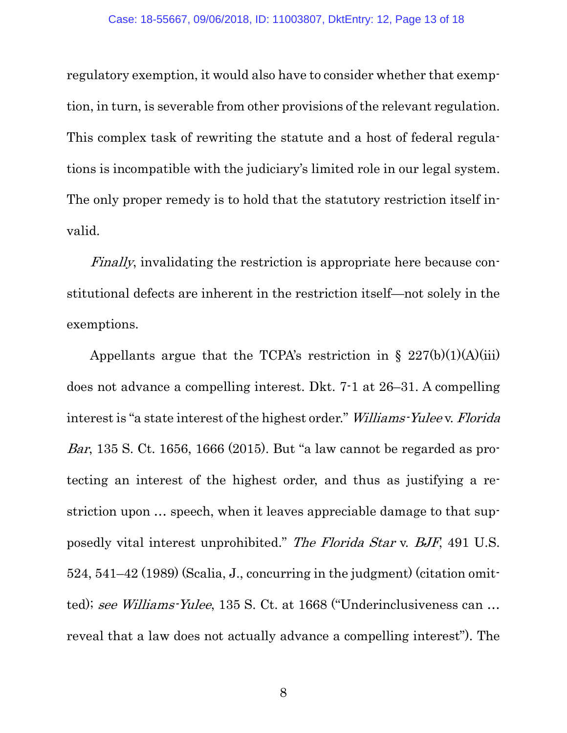regulatory exemption, it would also have to consider whether that exemption, in turn, is severable from other provisions of the relevant regulation. This complex task of rewriting the statute and a host of federal regulations is incompatible with the judiciary's limited role in our legal system. The only proper remedy is to hold that the statutory restriction itself invalid.

Finally, invalidating the restriction is appropriate here because constitutional defects are inherent in the restriction itself—not solely in the exemptions.

<span id="page-12-1"></span><span id="page-12-0"></span>Appellants argue that the TCPA's restriction in  $\S 227(b)(1)(A)(iii)$ does not advance a compelling interest. Dkt. 7-1 at 26–31. A compelling interest is "a state interest of the highest order." Williams-Yulee v. Florida Bar, 135 S. Ct. 1656, 1666 (2015). But "a law cannot be regarded as protecting an interest of the highest order, and thus as justifying a restriction upon … speech, when it leaves appreciable damage to that supposedly vital interest unprohibited." The Florida Star v. BJF, 491 U.S. 524, 541–42 (1989) (Scalia, J., concurring in the judgment) (citation omitted); see Williams-Yulee, 135 S. Ct. at 1668 ("Underinclusiveness can … reveal that a law does not actually advance a compelling interest"). The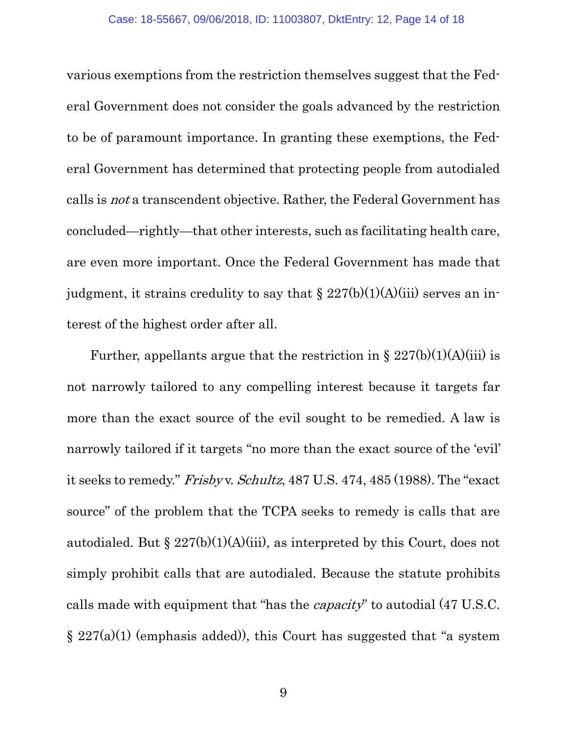various exemptions from the restriction themselves suggest that the Federal Government does not consider the goals advanced by the restriction to be of paramount importance. In granting these exemptions, the Federal Government has determined that protecting people from autodialed calls is not a transcendent objective. Rather, the Federal Government has concluded—rightly—that other interests, such as facilitating health care, are even more important. Once the Federal Government has made that judgment, it strains credulity to say that  $\S 227(b)(1)(A)(iii)$  serves an interest of the highest order after all.

<span id="page-13-0"></span>Further, appellants argue that the restriction in  $\S 227(b)(1)(A)(iii)$  is not narrowly tailored to any compelling interest because it targets far more than the exact source of the evil sought to be remedied. A law is narrowly tailored if it targets "no more than the exact source of the 'evil' it seeks to remedy." Frisby v. Schultz, 487 U.S. 474, 485 (1988). The "exact source" of the problem that the TCPA seeks to remedy is calls that are autodialed. But  $\S 227(b)(1)(A)(iii)$ , as interpreted by this Court, does not simply prohibit calls that are autodialed. Because the statute prohibits calls made with equipment that "has the capacity" to autodial (47 U.S.C.  $\S 227(a)(1)$  (emphasis added)), this Court has suggested that "a system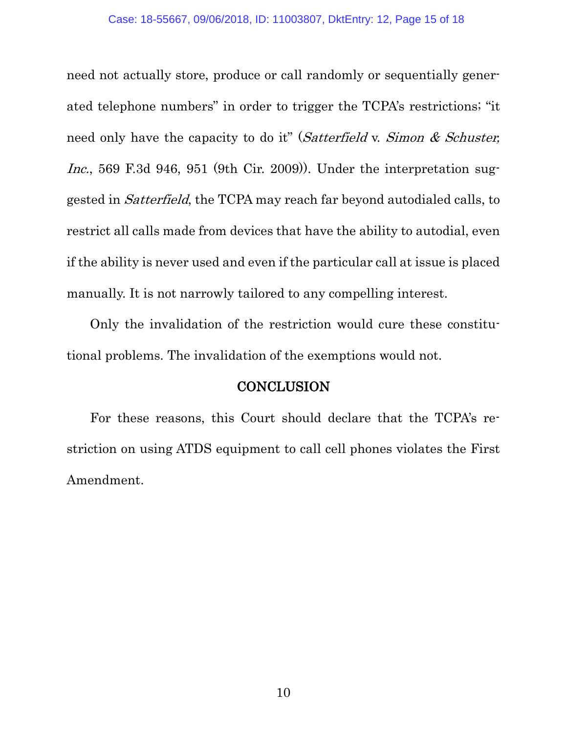<span id="page-14-0"></span>need not actually store, produce or call randomly or sequentially generated telephone numbers" in order to trigger the TCPA's restrictions; "it need only have the capacity to do it" (Satterfield v. Simon & Schuster, Inc., 569 F.3d 946, 951 (9th Cir. 2009)). Under the interpretation suggested in Satterfield, the TCPA may reach far beyond autodialed calls, to restrict all calls made from devices that have the ability to autodial, even if the ability is never used and even if the particular call at issue is placed manually. It is not narrowly tailored to any compelling interest.

Only the invalidation of the restriction would cure these constitutional problems. The invalidation of the exemptions would not.

#### **CONCLUSION**

For these reasons, this Court should declare that the TCPA's restriction on using ATDS equipment to call cell phones violates the First Amendment.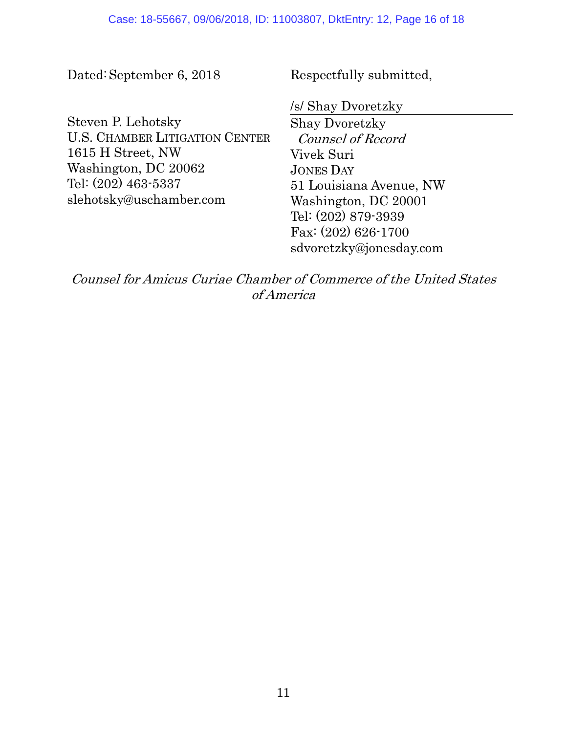Dated:September 6, 2018

Respectfully submitted,

Steven P. Lehotsky U.S. CHAMBER LITIGATION CENTER 1615 H Street, NW Washington, DC 20062 Tel: (202) 463-5337 slehotsky@uschamber.com

/s/ Shay Dvoretzky

Shay Dvoretzky Counsel of Record Vivek Suri JONES DAY 51 Louisiana Avenue, NW Washington, DC 20001 Tel: (202) 879-3939 Fax: (202) 626-1700 sdvoretzky@jonesday.com

Counsel for Amicus Curiae Chamber of Commerce of the United States of America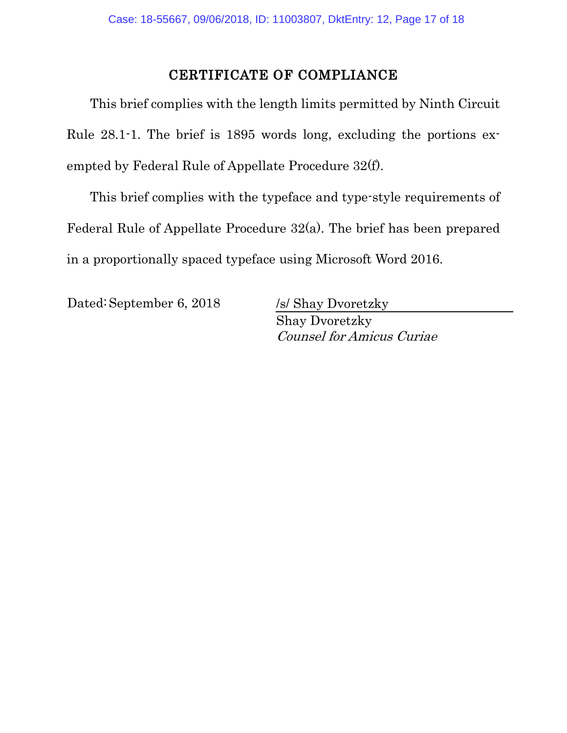#### CERTIFICATE OF COMPLIANCE

This brief complies with the length limits permitted by Ninth Circuit Rule 28.1-1. The brief is 1895 words long, excluding the portions exempted by Federal Rule of Appellate Procedure 32(f).

This brief complies with the typeface and type-style requirements of Federal Rule of Appellate Procedure 32(a). The brief has been prepared in a proportionally spaced typeface using Microsoft Word 2016.

Dated: September 6, 2018 /s/ Shay Dvoretzky

Shay Dvoretzky Counsel for Amicus Curiae